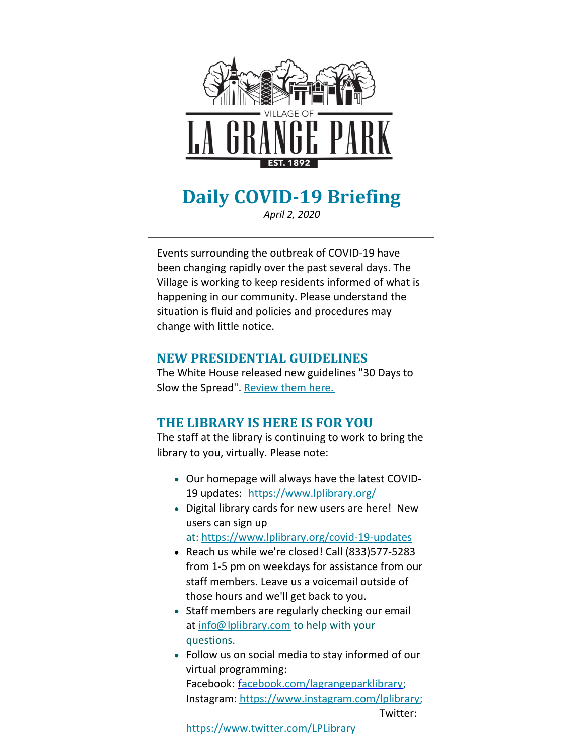

# **Daily COVID-19 Briefing**

*April 2, 2020*

Events surrounding the outbreak of COVID-19 have been changing rapidly over the past several days. The Village is working to keep residents informed of what is happening in our community. Please understand the situation is fluid and policies and procedures may change with little notice.

#### **NEW PRESIDENTIAL GUIDELINES**

The White House released new guidelines "30 Days to Slow the Spread". [Review](https://www.whitehouse.gov/wp-content/uploads/2020/03/03.16.20_coronavirus-guidance_8.5x11_315PM.pdf) them here.

#### **THE LIBRARY IS HERE IS FOR YOU**

The staff at the library is continuing to work to bring the library to you, virtually. Please note:

- Our homepage will always have the latest COVID-19 updates: <https://www.lplibrary.org/>
- Digital library cards for new users are here! New users can sign up

at: <https://www.lplibrary.org/covid-19-updates>

- Reach us while we're closed! Call (833)577-5283 from 1-5 pm on weekdays for assistance from our staff members. Leave us a voicemail outside of those hours and we'll get back to you.
- Staff members are regularly checking our email at [info@lplibrary.com](mailto:info@lplibrary.com) to help with your questions.
- Follow us on social media to stay informed of our virtual programming: Facebook: [facebook.com/lagrangeparklibrary](http://facebook.com/lagrangeparklibrary); Instagram: <https://www.instagram.com/lplibrary>; Twitter:

<https://www.twitter.com/LPLibrary>